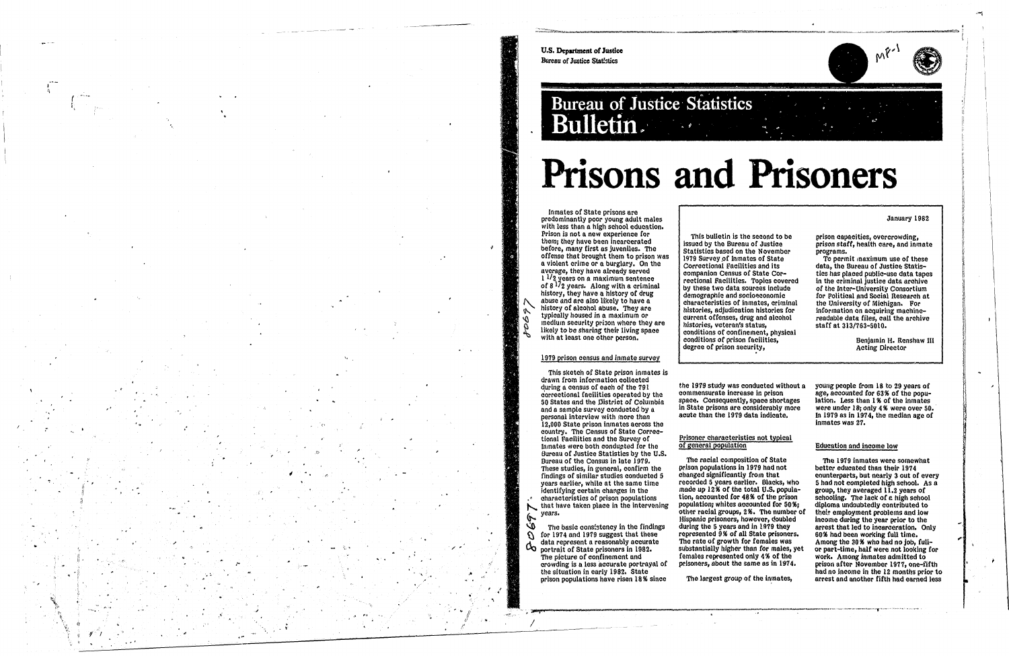U.S. Department of Justice **Bureau of Justice Statistics** 

## **Bureau of Justice Statistics** Bulletin.

Inmates of State prisons are predominantly poor young adult males with less than a high school education. Prison is not a new experience for them; they have been incarcerated before, many first as juveniles. The offense that brought them to prison was a violent crime or a burglary. On the average, they have already served  $1^{1/2}$  years on a maximum sentence of 8<sup>17</sup>2 years. Along with a criminal history, they have a history of drug abuse and are also likely to have a history of alcohol abuse. They are typically housed in a maximum or medium security prison where they are likely to be sharing their living space with at least one other person.

### 1979 prison census and inmate survey

This sketch of State prison inmates is drawn from information collected during a census of each of the 791 correctional facilities operated by the 50 States and the District of Columbia and a sample survey conducted by a personal interview with more than 12,000 State prison inmates across the country. The Census of State Correctional Facilities and the Survey of Inmates were both conducted for the Bureau of Justice Statistics by the U.S. Bureau of the Census in late 1979. These studies, in general, confirm the findings of similar studies conducted 5 years earlier, while at the same time identifying certain changes in the characterístics of prison populations that have taken place in the intervening years.

ىن The basic consistency in the findings for 1974 and 1979 suggest that these  $\mathcal{G}$ data represent a reasonably accurate  $\alpha$ portrait of State prisoners in 1982. The picture of confinement and crowding is a less accurate portrayal of the situation in early 1982. State prison populations have risen 18% since

r.



# **Prisons and Prisoners**

January 1982

This bulletin is the second to be issued by the Bureau of Justice Statistics based on the November 1979 Survey of Inmates of State Correctional Facilities and its companion Census of State Correctional Facilities. Topics covered by these two data sources include demographic and socioeconomic characteristics of inmates, criminal histories, adjudication histories for current offenses, drug and alcohol histories, veteran's status, conditions of confinement, physical conditions of prison facilities, degree of prison security,

prison capacities, overcrowding, prison staff, health care, and inmate programs.

To permit maximum use of these data, the Bureau of Justice Statistics has placed public-use data tapes in the criminal justice data archive of the Inter-University Consortium for Political and Social Research at the University of Michigan. For information on acquiring machinereadable data files, call the archive staff at 313/763-5010.

> Benjamin H. Renshaw III **Acting Director**

the 1979 study was conducted without a young people from 18 to 29 years of commensurate increase in prison space. Consequently, space shortages in State prisons are considerably more acute than the 1979 data indicate.

#### Prisoner characteristics not typical of general population

The racial composition of State prison populations in 1979 had not changed significantly from that recorded 5 years earlier. Blacks, who made up 12% of the total U.S. population, accounted for 48% of the prison population; whites accounted for 50%; other racial groups, 2%. The number of Hispanic prisoners, however, doubled during the 5 years and in 1979 they represented 9% of all State prisoners. The rate of growth for females was substantially higher than for males, yet females represented only 4% of the prisoners, about the same as in 1974.

The largest group of the inmates,

age, accounted for 63% of the population. Less than 1% of the inmates were under 18; only 4% were over 50. In 1979 as in 1974, the median age of inmates was 27.

#### **Education and income low**

The 1979 inmates were somewhat better educated than their 1974 counterparts, but nearly 3 out of every 5 had not completed high school. As a group, they averaged 11.2 years of schooling. The lack of a high school diploma undoubtedly contributed to their employment problems and low income during the year prior to the arrest that led to incarceration. Only 60% had been working full time. Among the 30% who had no job, fullor part-time, half were not looking for work. Among inmates admitted to prison after November 1977, one-fifth had no income in the 12 months prior to arrest and another fifth had earned less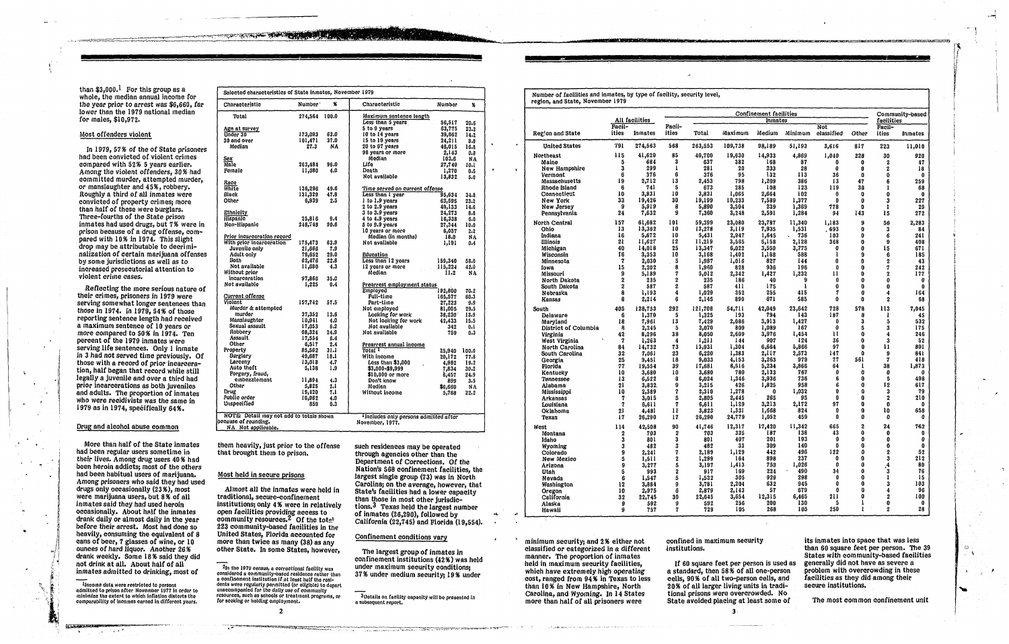..

Income data were restricted to persons<br>udmitted to prison after November 1977 in order to<br>minimize the extent to which inflation distorts the comparability of incomes earned in different years. - ---- ---------

than  $$3,000$ .<sup>1</sup> For this group as a whole, the median annual income for the year prior to arrest was \$6,660, far lower than the 1979 national median for males, \$10,972.

#### Most offenders violent

Reflecting the more serious nature of their crimes, prisoners in 1979 were serving somewhat longer sentences than *those in* 1974. fn 1979, 54 % of those reporting sentence length had received a maximum sentence of 10 years or more compared to 50 % in 1974. Ten percent of the 1979 inmates were serving life sentences. Only 1 *inmate in* 3 had *not* served time previously. or those with a record of prior incarceration, half began that record while still legally a juvenile and over a third had prior incarcerations as both juveniles and adults. The proportion of inmates who were recidivists was the same in 1979 as in 1974, specifically 64%.

In 1979,57% of *the* of State prisoners had been convicted of violent crimes compared with 52% 5 years earlier. Among the violent offenders, 30 % had committed murder, attempted murder, or manslaughter and 45%, robbery. Roughly a third of aU inmates were convicted of property crimes; more than half of these were burglars. Three-fourths of the State prison inmates had used drugs, but 7% were in prison because of a drug offense, compared with 10% in 1974. Thisslight drop may be attributable to decriminalization of certain marijuana offenses by some jurisdictions as well as to increased prosecutorial attention to violent crime cases.

#### Drug and alcohol abuse common

them heavily, just prior to the offense that brought them to prison.

More than half of the State inmates had been regular users sometime in their lives. Among drug users 40 % had been heroin addicts; most of the others had been habitual users of marijuana. Among prisoners who said they had used drugs only occasionally (23 %), most were marijuana users, but 8 % of all inmates said they had used heroin occasionally. About half the inmates drank daily or almost daily in the year before their arrest. Most had done so heavily, consuming the equivalent of 8 cans of beer, 7 glasses *ot* wine, or 10 ounces *ot* hard liquor. Another 26% drank weekly. Some 18% said they did not drink at all. About half of all inmates admitted to drinking, most of

| Selected characteristics of State inmates, November 1979. |               |      |                                      |               |
|-----------------------------------------------------------|---------------|------|--------------------------------------|---------------|
| Characteristic                                            | Number '      | X    | Characteristic<br>Number             | %             |
| Total                                                     | 274,564 100.0 |      | <u>Maximum sentence length</u>       |               |
|                                                           |               |      | Less than 5 years<br>56,517          | 20.6          |
| Age at survey                                             |               |      | 5 to 9 years<br>63,775               | 23.2          |
| Under 30                                                  | 173,093       | 63.0 | 10 to 14 years<br>39,062             | 14.2          |
| 30 and over                                               | 101,471       | 37.0 | 15 to 19 years<br>24,211             | 8.8           |
| Median                                                    | 27.3          | NA.  | 20 to 97 years<br>46,015             | 16.8          |
|                                                           |               |      | 98 years or more<br>2.143            | 0.8           |
| Sex                                                       |               |      | Median<br>103.6                      | <b>NA</b>     |
| <b>Male</b>                                               | 263,484       | 96.0 | Life<br>27,740                       | 10.I          |
| Pemale                                                    | 11,080        | 4.0  | Death<br>1,270                       | 0.5           |
|                                                           |               |      | Not available<br>13,832              | 5.0           |
| Race                                                      |               |      |                                      |               |
| <b>White</b>                                              | 136,296       | 49.6 | Time served on current offense       |               |
| Black                                                     | 131,329       | 47.8 | Less than I year<br>95,634           | 34.8          |
| Other                                                     | 6,939         | 2.5  | 1 to 1.9 years<br>63,595             | 23.2          |
|                                                           |               |      | 2 to 2.9 years<br>40,133             | 14.6          |
| Ethnicity                                                 |               |      | $3$ to $3.9$ years<br>24,273         | 8.8           |
| <b>Hispanic</b>                                           | 25,816        | 9.4  | 4 to 4.9 years<br>16,338             | 6.0           |
| Non-Hispanic                                              | 248.748       | 90.6 | 5 to 9.9 years<br>27,344             | 10.0          |
|                                                           |               |      | 10 years or more<br>6.057            | 2.2           |
| Prior incarceration record                                |               |      | Median (in months)                   | 18.0<br>ΝA    |
| With prior incarceration                                  | 175,473       | 63.9 | Not available                        | 1,191<br>0.4  |
| Juvenile only                                             | 21,666        | 7.9  |                                      |               |
| Adult only                                                | 79,652        | 29.0 | Education                            |               |
| Both                                                      | 62,476        | 22.8 | Less than 12 years                   |               |
| Not available                                             | 11,680        | 4.3  | 159,340                              | 58.0          |
| Without prior                                             |               |      | 12 years or more<br>115,224          | 42.0          |
| incarceration                                             |               |      | Median                               | 11.2<br>NA    |
| Not available                                             | 97,866        | 35.6 |                                      |               |
|                                                           | 1,225         | 0.4  | Prearrest employment status          |               |
|                                                           |               |      | <b>Employed</b><br>192,800           | 70.2          |
| Current offense                                           |               |      | Full-time<br>165,577                 | 60.3          |
| Violent                                                   | 157,742       | 57.5 | Part-time<br>27,223                  | 9.9           |
| Murder & attempted                                        |               |      | Not employed<br>81,005               | 29.5          |
| murder                                                    | 37,352        | 13.6 | Looking for work<br>38,230           | 13.9          |
| Manslaughter                                              | 10,941        | 4.0  | Not looking for work<br>42,433       | 15.5          |
| Sexual assault                                            | 17,053        | 6.2  | Not available                        | 342<br>0.1    |
| Robbery                                                   | 68,324        | 24.9 | Not available                        | 759<br>0.3    |
| <b>Assault</b>                                            | 17,554        | 6.4  |                                      |               |
| Other                                                     | 6,517         | 2.4  | Prearrest annual income              |               |
| Property                                                  | 85,562        | 31.1 | Total T<br>25,940                    | 100.0         |
| Burglary                                                  | 49,687        | 18.1 | With income<br>20,172                | 77.8          |
| Larceny                                                   | 13,018        | 4.7  | Less than \$3,000<br>4,982           | 19.2          |
| Auto theft                                                | 5,138         | 1.9  | \$3,000-\$9,999<br>7,834             | 30.2          |
| Forgery, fraud,                                           |               |      | $$10,000$ or more                    | 6,457<br>24.9 |
| embezzlement                                              | 11,894        | 4.3  | Don't know                           | 3.5<br>899    |
| Other                                                     | 5,825         | 2.i  | Median<br>\$6,660                    | <b>NA</b>     |
| Drug                                                      | 19,420        | 7.1  | Without income                       | 22.2<br>5,768 |
| Public order                                              | 16,982        | 4.0  |                                      |               |
| Unspecified                                               | 859           | 0.3  |                                      |               |
|                                                           |               |      |                                      |               |
| NOTE: Detail may not add to totals shown                  |               |      | Includes only persons admitted after |               |
| because of rounding.                                      |               |      | November, 1977.                      |               |
| NA_Not applicable.                                        |               |      |                                      |               |

such residences may be operated through agencies other than the Department of Corrections. *ot* the Nation's 568 confinement facilities, the largest single group (73) was in North Carolina; on the average, however, *that*  State's facilities had a lower capacity than those in most other jurisdictions.3 Texas held the largest number of inmates (26,290), followed by California (22,745) and Florida (19,554).

#### Confinement conditions vary

#### Most held in secure prisons

Almost all the inmates were held in traditional, secure-confinement institutions; only 4 % were in relatively open facilities providing access to<br>community resources.<sup>2</sup> Of the tot<u>el</u> 223 community-based facilities in the United States, Florida accoUnted for more than twice as many (38) as any other State. In some States, however,

2

If 60 square feet per person is used as a standard, then 58% of all one-person cells, 90% of all two-person cells, and 20% of all larger living units in traditional prisons were overcrowded. No State avoided placing at least some of

o  $\mathbf{A}$ 

The largest group of inmates in confinement institutions (42%) was held under maximum security conditions; 37% under medium security; 19% under

 $3$ Details on facility capacity will be presented in a subsequent report.

1- !

Number *ot* facilities and inme\_tes, by type of facility, security level, region, and State, November 1979

• minimum security; and 2% either not classified or categorized in a different manner. The proportion of inmates held in maximum security facilities, which have extremely high operating cost, ranged from 94 % in Texas to less than 10% in New Hampshire, North Carolina, and Wyoming. In 14 States more than half of all prisoners were

| Region and State<br><b>United States</b> | <b>Facil-</b>    |                 |                              |                 | Confinement facilities |                 |                 |                 |                      |                          |              |  |
|------------------------------------------|------------------|-----------------|------------------------------|-----------------|------------------------|-----------------|-----------------|-----------------|----------------------|--------------------------|--------------|--|
|                                          |                  | All facilities  | Facil-                       |                 |                        | Inmates         | <b>Not</b>      |                 | facilities<br>Facil- |                          |              |  |
|                                          | ities            | Inmates         | ities                        | Total           | Maximum                | Medium          | Minimum         | classified      | Other                | ities                    | Inmates      |  |
|                                          | 791              | 274,563         | 568                          | 263,553         | 109,738                | 98,189          | 51,193          | 3,616           | 817                  | 223                      | 11,010       |  |
| Northeast                                | 115              | 41,620          | 85                           | 40,700          | 19,630                 | 14,933          | 4,869           | 1,040           | 228                  | 30                       | 920          |  |
| Maine                                    | 5                | 684             | 3                            | 637             | 382                    | 168             | 87              | 0               | 0                    | $\boldsymbol{2}$         | 47           |  |
| New Hampshire<br>Vermont                 | 3<br>6           | 299<br>376      | 1<br>6                       | 281<br>376      | 20<br>95               | 233<br>132      | 28<br>113       | 0<br>36         | 0<br>0               | 2<br>0                   | 18<br>0      |  |
| <b>Massachusetts</b>                     | 19               | 2,712           | 13                           | 2,453           | 798                    | 1,209           | 386             | 13              | 47                   | 6                        | 259          |  |
| Rhode Island                             | 6                | 741             | 15                           | 673             | 285                    | 108             | 123             | 119             | 38                   | 1                        | 68           |  |
| Connecticut                              | 10               | 3,831           | 10                           | 3,831           | 1,065                  | 2,664           | 102             | 0               | 0                    | 0                        | 0            |  |
| New York                                 | 33               | 19,426          | 30                           | 19,199          | 10,233                 | 7,589           | 1,377           | 0               | 0                    | 3                        | 227          |  |
| New Jersey                               | 9<br>24          | 5,919           | 8<br>9                       | 5,890           | 3,594                  | 239             | 1,369           | 778             | 0<br>143             | 1                        | 29           |  |
| Pennsylvania<br>North Central            | 157              | 7,632<br>61,682 | 101                          | 7,360<br>59,399 | 3,248<br>23,080        | 2,591<br>23,787 | 1,284<br>11,340 | 94<br>1,183     | 9                    | 15<br>56                 | 272          |  |
| Ohio                                     | 13               | 13,362          | 10                           | 13,278          | 3,119                  | 7,935           | 1,531           | .693            | 0                    | 3                        | 2,283<br>84  |  |
| Indiana                                  | 16               | 5,672           | 10                           | 5,431           | 2,947                  | 1,645           | 736             | 103             | 0                    | 6                        | 24 I         |  |
| <b>Illinois</b>                          | 21               | 11,627          | 12                           | 11,219          | 3,565                  | 5,158           | 2,128           | 368             | 0                    | 9                        | 408          |  |
| Michigan                                 | 40               | 14,018          | 25                           | 13,347          | 6,022                  | 3,550           | 3,775           | 0               | 0                    | 15                       | 671          |  |
| Wisconsin                                | Ť6               | 3,353           | 10                           | 3,168           | 1,402                  | 1,168           | 588             | 1               | 9                    | 6                        | 185          |  |
| Minnesota                                | 7<br>15          | 2,030<br>2,202  | $\overline{\mathbf{5}}$<br>8 | 1,987<br>1,960  | 1,016<br>828           | 827<br>936      | 144<br>196      | 0<br>0          | 0<br>0               | 2<br>7                   | 43<br>242    |  |
| Iowa<br>Missouri                         | 9                | 5,189           | 7                            | 5,012           | 2,342                  | 1,427           | 1,232           | 11              | 0                    | 2                        | 177          |  |
| North Dakota                             | 2                | 235             | $\boldsymbol{2}$             | 235             | 186                    | 40              | 9               | $\bf{0}$        | 0                    | 0                        | 0            |  |
| South Dakota                             | 2                | 587             | $\boldsymbol{2}$             | 587             | 411                    | 175             |                 | 0               | 0                    | $\bf{0}$                 | 0            |  |
| Nebraska                                 | 8                | 1,193           | 4                            | 1,029           | 352                    | 255             | 415             | 7               | 0                    | 4                        | 164          |  |
| Kansas                                   | 8                | 2,214           | 6                            | 2,145           | 890                    | 671             | 585             | $\bf{0}$        | 0                    | $\boldsymbol{2}$         | 68           |  |
| South                                    | 405              | 128,753         | 292                          | 121,708         | 54,711                 | 42,049          | 23,642          | 728             | 578                  | 113                      | 7,045        |  |
| Delaware                                 | 6                | 1,370           | 5                            | 1,325           | 193                    | 794             | 143             | 187             | 8                    | 1                        | 45           |  |
| Maryland<br>District of Columbia         | 18<br>ß          | 7,96I<br>2,245  | 13<br>5                      | 7,429<br>2,070  | 2,086<br>809           | 3,913<br>1,089  | 1,427<br>167    | 0<br>0          | 3<br>5               | 5<br>3                   | 532<br>175   |  |
| Virginia                                 | 42               | 8,296           | 38                           | 8,050           | 2,609                  | 3,976           | 1,454           | $\mathbf{11}$   | $\mathbf 0$          | $\boldsymbol{4}$         | 246          |  |
| West Virginia                            | $\boldsymbol{7}$ | 1,263           | 4                            | 1,211           | 144                    | 907             | 124             | 36              | 0                    | 3                        | 52           |  |
| North Carolina                           | 84               | 14,732          | 73                           | 13,931          | 1,304                  | 6,664           | 5,866           | 97              | Û                    | $\mathbf{1}$             | 801          |  |
| South Carolina                           | 32               | 7,061           | 23                           | 6,220           | 1,383                  | 2,117           | 2,573           | 147             | 0                    | 9                        | 841          |  |
| Georgia<br>Florida.                      | 25<br>77         | 9,451<br>19,554 | 18<br>39                     | 9,033<br>17,681 | 4,153<br>8,516         | 3,263<br>5,234  | 979<br>3,866    | 77<br>64        | 561<br>1             | 7<br>38                  | 418<br>1,873 |  |
| Kentucky                                 | 10               | 3,680           | 10                           | 3,680           | 780                    | 2,133           | 767             | 0               | O                    | 0                        | 0            |  |
| Tennessee                                | 13               | 6,522           | 8                            | 6,024           | 1,346                  | 3,936           | 736             | 6               | 0                    | 5                        | 498          |  |
| Alabama                                  | 21               | 3,832           | 9                            | 3,215           | 426                    | 1,825           | 958             | 6               | Û                    | 12                       | 617          |  |
| Mississippi                              | 10               | 2,389           | 7                            | 2,310           | 1,278                  | 0               | 1,032           | $\mathbf{0}$    | 0                    | 3                        | 79           |  |
| Arkansas                                 | 7<br>7           | 3,015           | 5                            | 2,805           | 2,445                  | 265<br>3,213    | 95              | 0<br>97         | Ó<br>0               | $\mathbf{2}$<br>$\bf{0}$ | 210          |  |
| Louisiana<br>Oklahoma                    | 21               | 6,611<br>4,481  | 7<br>11                      | 6,611<br>3,823  | 1,129<br>1,331         | 1,668           | 2,172<br>824    | 0               | 0                    | 10                       | 0<br>658     |  |
| Texas                                    | 17               | 26,290          | 17                           | 26,290          | 24,779                 | 1,052           | 459             | 0               | 0                    | 0                        | 0            |  |
| West                                     | 114              | 42,508          | 90                           | 41,746          | 12,317                 | 17,420          | 11,342          | 665             | $\overline{2}$       | 24                       | 762          |  |
| Montana                                  | 2                | 703             | 2                            | 703             | 335                    | 187             | 138             | 43              | 0                    | 0                        | 0            |  |
| Idaho                                    | 3                | 801             | 3                            | 801             | 407                    | 201             | 193             | 0               | 0                    | 0                        | 0            |  |
| Wyoming<br>Colorado                      | 3<br>9           | 482<br>2,241    | 3<br>7                       | 482<br>2,189    | 33<br>1,129            | 309<br>442      | 140<br>496      | $\bf{0}$<br>122 | 0<br>0               | $\bf{0}$<br>2            | 0<br>52      |  |
| New Mexico                               | 5                | 1,511           | 2                            | 1,299           | 164                    | 898             | 237             | 0               | 0                    | 3                        | 212          |  |
| Arizona                                  | 9                | 3,277           | 5                            | 3,197           | 1,413                  | 753             | 1,026           | 0               | đ                    | $\frac{4}{3}$            | 80           |  |
| <b>Utah</b>                              | 5                | 993             | $\boldsymbol{2}$             | 917             | 169                    | 224             | 490             | 34              | O                    |                          | 76           |  |
| Nevada                                   | 6                | 1,547           | 5                            | 1,532           | 305                    | 929             | 298             | Ű               | $\bf{0}$             | $\mathbf{1}$             | 15           |  |
| Washington                               | 12               | 3,884           | 9                            | 3,781           | 2,204                  | 632             | 945<br>679      | 0<br>0          | 0<br>0               | 3                        | 103          |  |
| Oregon<br>California                     | 10<br>32         | 2,975<br>22,745 | 6<br>30                      | 2,879<br>22,645 | 2,143<br>3,654         | 57<br>12,315    | 6,465           | 211             | Ò                    | 4<br>2                   | 96<br>100    |  |
| Alaska                                   | 9                | 592             | 9                            | 592             | 256                    | 200             | 130             | 5               | 1                    | 0                        | 0            |  |
| Hawaii                                   | 9                | 757             | 7                            | 729             | 105                    | 268             | 105             | 250             | ł                    | $\mathbf{z}$             | $\bf{28}$    |  |

confined in maximum security ,institutions.

its inmates into space that was less than 60 square feet per person. The 39 States with community-based facilities generally did not have as severe a problem with overcrowding in these facilities as they did among their secure institutions.

The most com mon confinement unit

3

v I I ! , t

|صد.

I

i

I i

I

 $2$ In the 1979 census, a correctional facility was considered a community-based residence rather than<br>a confinement institution if at least half the residents were regularly permitted (or eligible) to depart unaccompanied for the dally use of community resources, such as schools or treatment programs, or for seeking or holding employment.